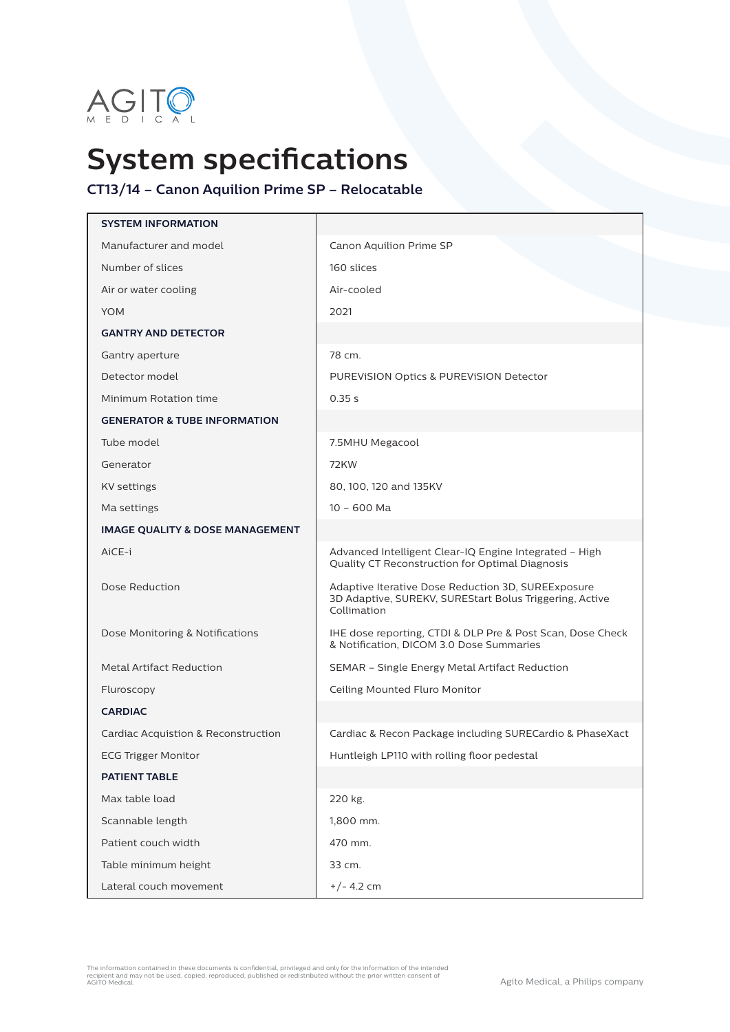

## **System specifications**

## **CT13/14 – Canon Aquilion Prime SP – Relocatable**

| <b>SYSTEM INFORMATION</b>                  |                                                                                                                              |
|--------------------------------------------|------------------------------------------------------------------------------------------------------------------------------|
| Manufacturer and model                     | Canon Aquilion Prime SP                                                                                                      |
| Number of slices                           | 160 slices                                                                                                                   |
| Air or water cooling                       | Air-cooled                                                                                                                   |
| <b>YOM</b>                                 | 2021                                                                                                                         |
| <b>GANTRY AND DETECTOR</b>                 |                                                                                                                              |
| Gantry aperture                            | 78 cm.                                                                                                                       |
| Detector model                             | PUREVISION Optics & PUREVISION Detector                                                                                      |
| Minimum Rotation time                      | 0.35 s                                                                                                                       |
| <b>GENERATOR &amp; TUBE INFORMATION</b>    |                                                                                                                              |
| Tube model                                 | 7.5MHU Megacool                                                                                                              |
| Generator                                  | <b>72KW</b>                                                                                                                  |
| <b>KV</b> settings                         | 80, 100, 120 and 135KV                                                                                                       |
| Ma settings                                | $10 - 600$ Ma                                                                                                                |
| <b>IMAGE QUALITY &amp; DOSE MANAGEMENT</b> |                                                                                                                              |
| AiCE-i                                     | Advanced Intelligent Clear-IQ Engine Integrated - High<br>Quality CT Reconstruction for Optimal Diagnosis                    |
| Dose Reduction                             | Adaptive Iterative Dose Reduction 3D, SUREExposure<br>3D Adaptive, SUREKV, SUREStart Bolus Triggering, Active<br>Collimation |
| Dose Monitoring & Notifications            | IHE dose reporting, CTDI & DLP Pre & Post Scan, Dose Check<br>& Notification, DICOM 3.0 Dose Summaries                       |
| <b>Metal Artifact Reduction</b>            | SEMAR - Single Energy Metal Artifact Reduction                                                                               |
| Fluroscopy                                 | Ceiling Mounted Fluro Monitor                                                                                                |
| <b>CARDIAC</b>                             |                                                                                                                              |
| Cardiac Acquistion & Reconstruction        | Cardiac & Recon Package including SURECardio & PhaseXact                                                                     |
| <b>ECG Trigger Monitor</b>                 | Huntleigh LP110 with rolling floor pedestal                                                                                  |
| <b>PATIENT TABLE</b>                       |                                                                                                                              |
| Max table load                             | 220 kg.                                                                                                                      |
| Scannable length                           | 1,800 mm.                                                                                                                    |
| Patient couch width                        | 470 mm.                                                                                                                      |
| Table minimum height                       | 33 cm.                                                                                                                       |
| Lateral couch movement                     | $+/- 4.2$ cm                                                                                                                 |

The information contained in these documents is confidential, privileged and only for the information of the intended<br>recipient and may not be used, copied, reproduced, published or redistributed without the prior written